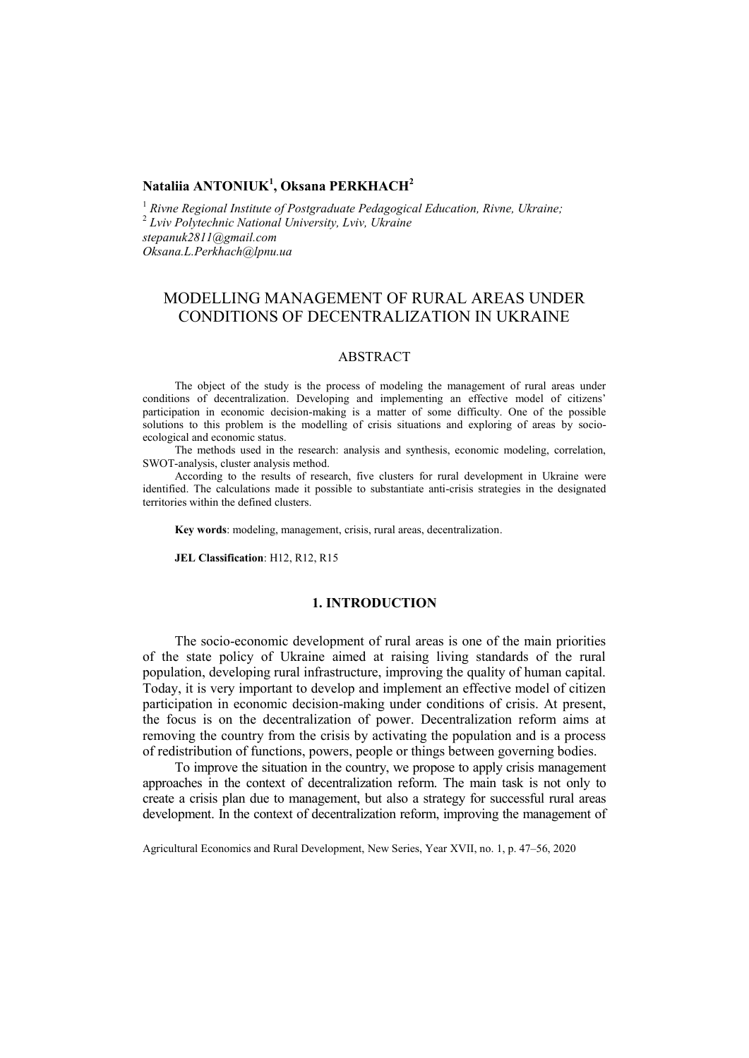## **Nataliia ANTONIUK<sup>1</sup> , Oksana PERKHACH<sup>2</sup>**

<sup>1</sup> Rivne Regional Institute of Postgraduate Pedagogical Education, Rivne, Ukraine; 2 *Lviv Polytechnic National University, Lviv, Ukraine [stepanuk2811@gmail.com](mailto:stepanuk2811@gmail.com) [Oksana.L.Perkhach@lpnu.ua](mailto:2Oksana.L.Perkhach@lpnu.ua)*

# MODELLING MANAGEMENT OF RURAL AREAS UNDER CONDITIONS OF DECENTRALIZATION IN UKRAINE

#### ABSTRACT

The object of the study is the process of modeling the management of rural areas under conditions of decentralization. Developing and implementing an effective model of citizens' participation in economic decision-making is a matter of some difficulty. One of the possible solutions to this problem is the modelling of crisis situations and exploring of areas by socioecological and economic status.

The methods used in the research: analysis and synthesis, economic modeling, correlation, SWOT-analysis, cluster analysis method.

According to the results of research, five clusters for rural development in Ukraine were identified. The calculations made it possible to substantiate anti-crisis strategies in the designated territories within the defined clusters.

**Key words**: modeling, management, crisis, rural areas, decentralization.

**JEL Classification**: H12, R12, R15

#### **1. INTRODUCTION**

The socio-economic development of rural areas is one of the main priorities of the state policy of Ukraine aimed at raising living standards of the rural population, developing rural infrastructure, improving the quality of human capital. Today, it is very important to develop and implement an effective model of citizen participation in economic decision-making under conditions of crisis. At present, the focus is on the decentralization of power. Decentralization reform aims at removing the country from the crisis by activating the population and is a process of redistribution of functions, powers, people or things between governing bodies.

To improve the situation in the country, we propose to apply crisis management approaches in the context of decentralization reform. The main task is not only to create a crisis plan due to management, but also a strategy for successful rural areas development. In the context of decentralization reform, improving the management of

Agricultural Economics and Rural Development, New Series, Year XVII, no. 1, p. 47–56, 2020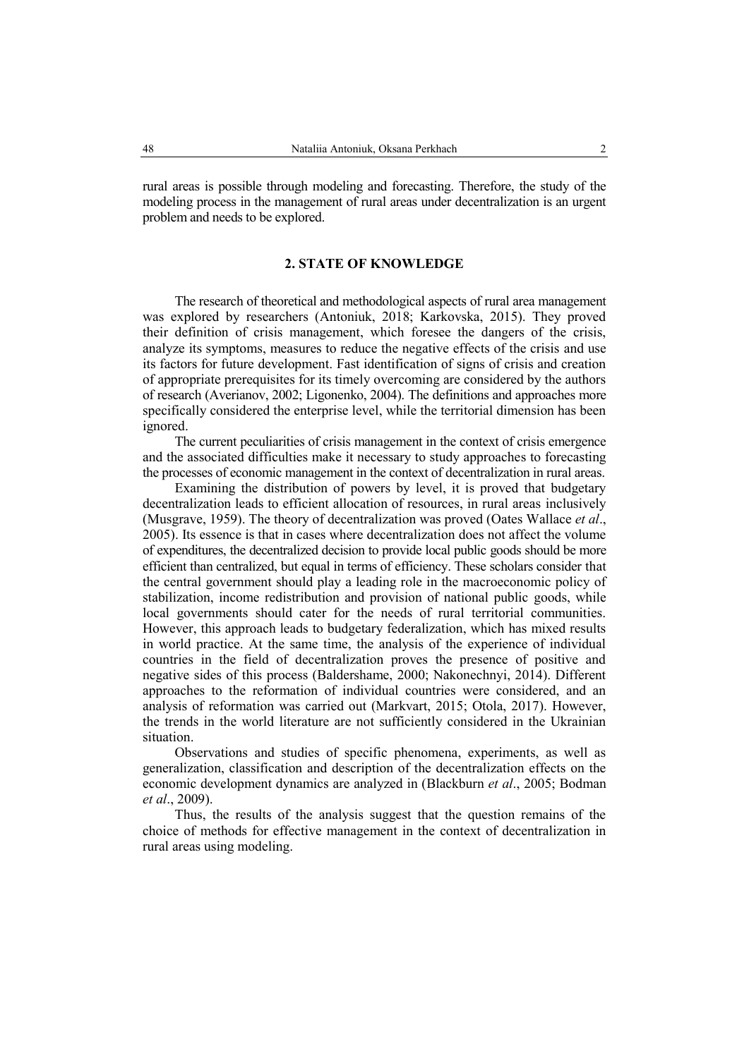rural areas is possible through modeling and forecasting. Therefore, the study of the modeling process in the management of rural areas under decentralization is an urgent problem and needs to be explored.

#### **2. STATE OF KNOWLEDGE**

The research of theoretical and methodological aspects of rural area management was explored by researchers (Antoniuk, 2018; Karkovska, 2015). They proved their definition of crisis management, which foresee the dangers of the crisis, analyze its symptoms, measures to reduce the negative effects of the crisis and use its factors for future development. Fast identification of signs of crisis and creation of appropriate prerequisites for its timely overcoming are considered by the authors of research (Averianov, 2002; Ligonenko, 2004). The definitions and approaches more specifically considered the enterprise level, while the territorial dimension has been ignored.

The current peculiarities of crisis management in the context of crisis emergence and the associated difficulties make it necessary to study approaches to forecasting the processes of economic management in the context of decentralization in rural areas.

Examining the distribution of powers by level, it is proved that budgetary decentralization leads to efficient allocation of resources, in rural areas inclusively (Musgrave, 1959). The theory of decentralization was proved (Oates Wallace *et al*., 2005). Its essence is that in cases where decentralization does not affect the volume of expenditures, the decentralized decision to provide local public goods should be more efficient than centralized, but equal in terms of efficiency. These scholars consider that the central government should play a leading role in the macroeconomic policy of stabilization, income redistribution and provision of national public goods, while local governments should cater for the needs of rural territorial communities. However, this approach leads to budgetary federalization, which has mixed results in world practice. At the same time, the analysis of the experience of individual countries in the field of decentralization proves the presence of positive and negative sides of this process (Baldershame, 2000; Nakonechnyi, 2014). Different approaches to the reformation of individual countries were considered, and an analysis of reformation was carried out (Markvart, 2015; Otola, 2017). However, the trends in the world literature are not sufficiently considered in the Ukrainian situation.

Observations and studies of specific phenomena, experiments, as well as generalization, classification and description of the decentralization effects on the economic development dynamics are analyzed in (Blackburn *et al*., 2005; Bodman *et al*., 2009).

Thus, the results of the analysis suggest that the question remains of the choice of methods for effective management in the context of decentralization in rural areas using modeling.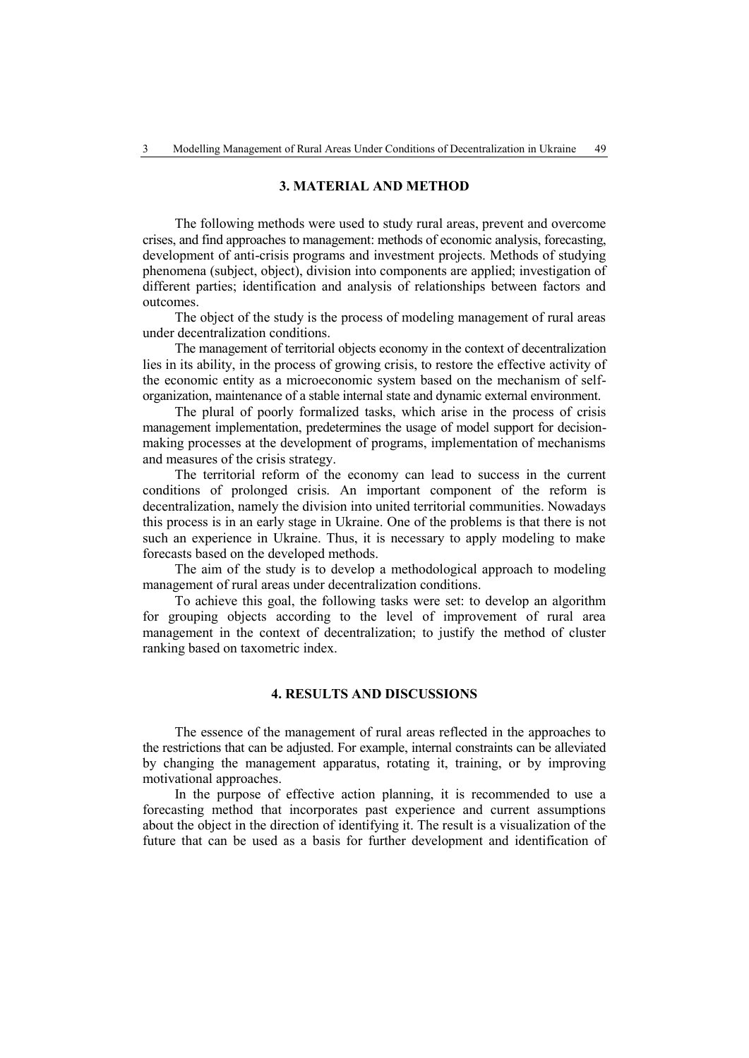#### **3. MATERIAL AND METHOD**

The following methods were used to study rural areas, prevent and overcome crises, and find approaches to management: methods of economic analysis, forecasting, development of anti-crisis programs and investment projects. Methods of studying phenomena (subject, object), division into components are applied; investigation of different parties; identification and analysis of relationships between factors and outcomes.

The object of the study is the process of modeling management of rural areas under decentralization conditions.

The management of territorial objects economy in the context of decentralization lies in its ability, in the process of growing crisis, to restore the effective activity of the economic entity as a microeconomic system based on the mechanism of selforganization, maintenance of a stable internal state and dynamic external environment.

The plural of poorly formalized tasks, which arise in the process of crisis management implementation, predetermines the usage of model support for decisionmaking processes at the development of programs, implementation of mechanisms and measures of the crisis strategy.

The territorial reform of the economy can lead to success in the current conditions of prolonged crisis. An important component of the reform is decentralization, namely the division into united territorial communities. Nowadays this process is in an early stage in Ukraine. One of the problems is that there is not such an experience in Ukraine. Thus, it is necessary to apply modeling to make forecasts based on the developed methods.

The aim of the study is to develop a methodological approach to modeling management of rural areas under decentralization conditions.

To achieve this goal, the following tasks were set: to develop an algorithm for grouping objects according to the level of improvement of rural area management in the context of decentralization; to justify the method of cluster ranking based on taxometric index.

#### **4. RESULTS AND DISCUSSIONS**

The essence of the management of rural areas reflected in the approaches to the restrictions that can be adjusted. For example, internal constraints can be alleviated by changing the management apparatus, rotating it, training, or by improving motivational approaches.

In the purpose of effective action planning, it is recommended to use a forecasting method that incorporates past experience and current assumptions about the object in the direction of identifying it. The result is a visualization of the future that can be used as a basis for further development and identification of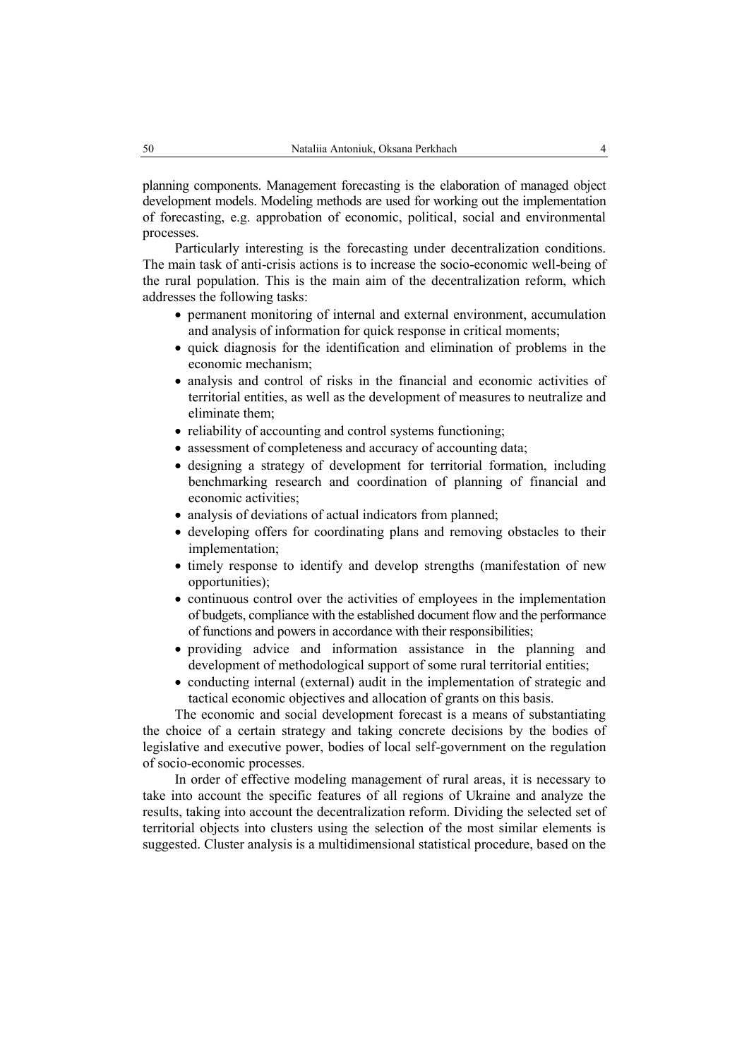planning components. Management forecasting is the elaboration of managed object development models. Modeling methods are used for working out the implementation of forecasting, e.g. approbation of economic, political, social and environmental processes.

Particularly interesting is the forecasting under decentralization conditions. The main task of anti-crisis actions is to increase the socio-economic well-being of the rural population. This is the main aim of the decentralization reform, which addresses the following tasks:

- permanent monitoring of internal and external environment, accumulation and analysis of information for quick response in critical moments;
- quick diagnosis for the identification and elimination of problems in the economic mechanism;
- analysis and control of risks in the financial and economic activities of territorial entities, as well as the development of measures to neutralize and eliminate them;
- reliability of accounting and control systems functioning;
- assessment of completeness and accuracy of accounting data;
- designing a strategy of development for territorial formation, including benchmarking research and coordination of planning of financial and economic activities;
- analysis of deviations of actual indicators from planned;
- developing offers for coordinating plans and removing obstacles to their implementation;
- timely response to identify and develop strengths (manifestation of new opportunities);
- continuous control over the activities of employees in the implementation of budgets, compliance with the established document flow and the performance of functions and powers in accordance with their responsibilities;
- providing advice and information assistance in the planning and development of methodological support of some rural territorial entities;
- conducting internal (external) audit in the implementation of strategic and tactical economic objectives and allocation of grants on this basis.

The economic and social development forecast is a means of substantiating the choice of a certain strategy and taking concrete decisions by the bodies of legislative and executive power, bodies of local self-government on the regulation of socio-economic processes.

In order of effective modeling management of rural areas, it is necessary to take into account the specific features of all regions of Ukraine and analyze the results, taking into account the decentralization reform. Dividing the selected set of territorial objects into clusters using the selection of the most similar elements is suggested. Cluster analysis is a multidimensional statistical procedure, based on the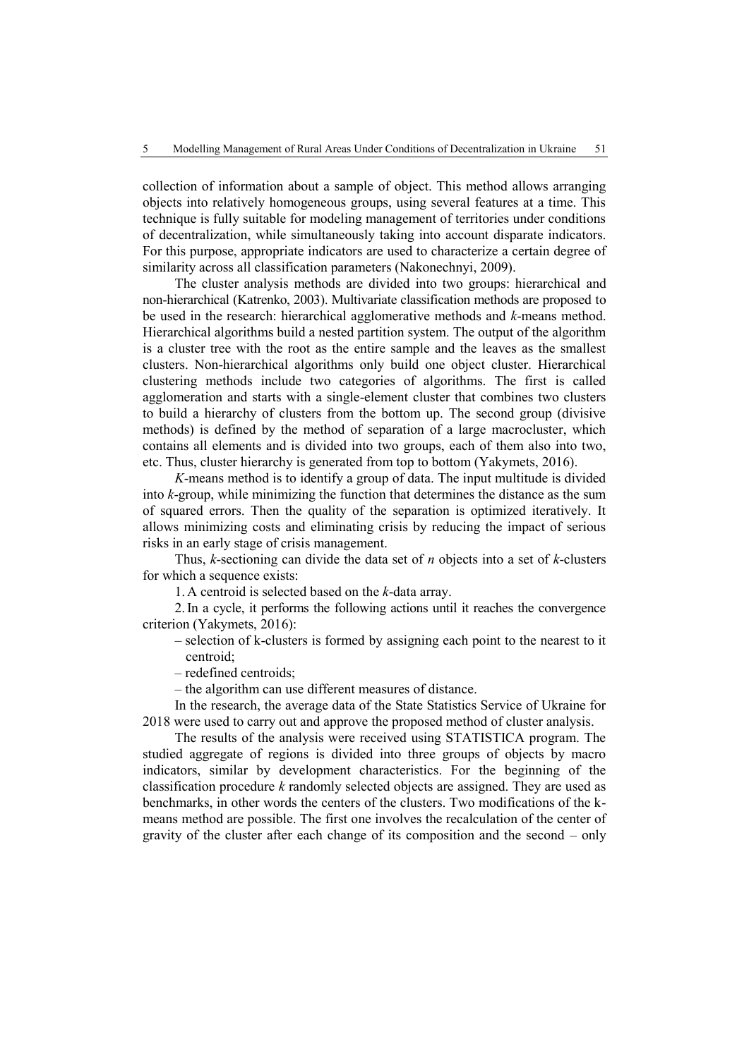collection of information about a sample of object. This method allows arranging objects into relatively homogeneous groups, using several features at a time. This technique is fully suitable for modeling management of territories under conditions of decentralization, while simultaneously taking into account disparate indicators. For this purpose, appropriate indicators are used to characterize a certain degree of similarity across all classification parameters (Nakonechnyi, 2009).

The cluster analysis methods are divided into two groups: hierarchical and non-hierarchical (Katrenko, 2003). Multivariate classification methods are proposed to be used in the research: hierarchical agglomerative methods and *k*-means method. Hierarchical algorithms build a nested partition system. The output of the algorithm is a cluster tree with the root as the entire sample and the leaves as the smallest clusters. Non-hierarchical algorithms only build one object cluster. Hierarchical clustering methods include two categories of algorithms. The first is called agglomeration and starts with a single-element cluster that combines two clusters to build a hierarchy of clusters from the bottom up. The second group (divisive methods) is defined by the method of separation of a large macrocluster, which contains all elements and is divided into two groups, each of them also into two, etc. Thus, cluster hierarchy is generated from top to bottom (Yakymets, 2016).

*K*-means method is to identify a group of data. The input multitude is divided into *k*-group, while minimizing the function that determines the distance as the sum of squared errors. Then the quality of the separation is optimized iteratively. It allows minimizing costs and eliminating crisis by reducing the impact of serious risks in an early stage of crisis management.

Thus, *k*-sectioning can divide the data set of *n* objects into a set of *k*-clusters for which a sequence exists:

1.A centroid is selected based on the *k*-data array.

2.In a cycle, it performs the following actions until it reaches the convergence criterion (Yakymets, 2016):

- selection of k-clusters is formed by assigning each point to the nearest to it centroid;
- redefined centroids;
- the algorithm can use different measures of distance.

In the research, the average data of the State Statistics Service of Ukraine for 2018 were used to carry out and approve the proposed method of cluster analysis.

The results of the analysis were received using STATISTICA program. The studied aggregate of regions is divided into three groups of objects by macro indicators, similar by development characteristics. For the beginning of the classification procedure *k* randomly selected objects are assigned. They are used as benchmarks, in other words the centers of the clusters. Two modifications of the kmeans method are possible. The first one involves the recalculation of the center of gravity of the cluster after each change of its composition and the second – only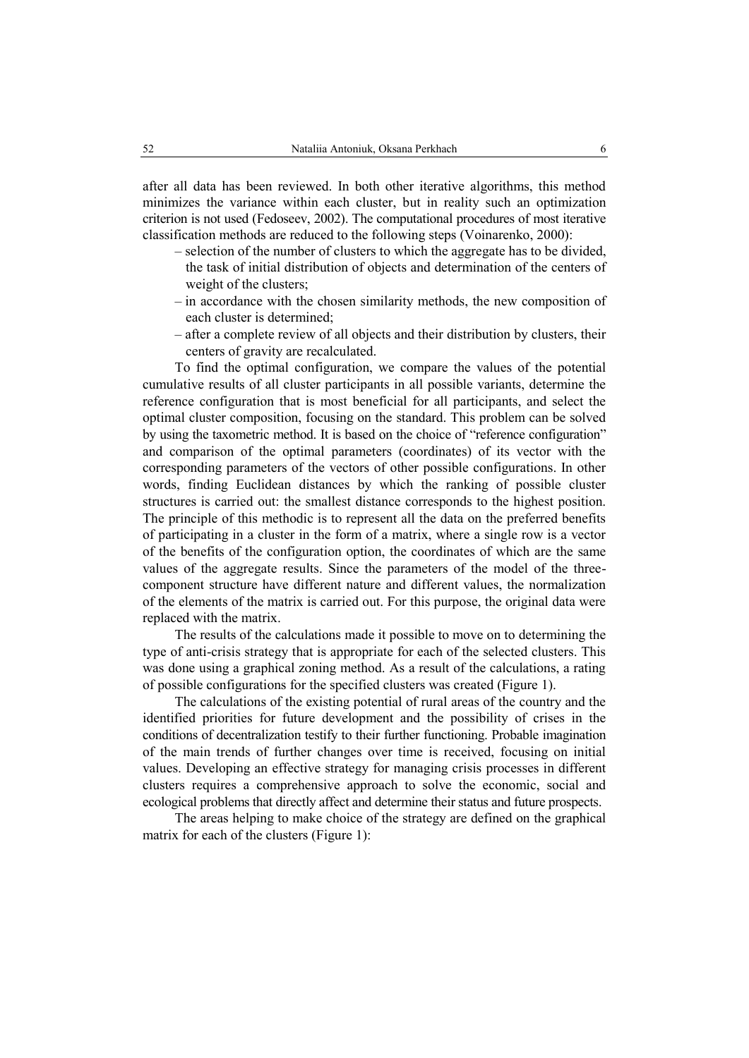after all data has been reviewed. In both other iterative algorithms, this method minimizes the variance within each cluster, but in reality such an optimization criterion is not used (Fedoseev, 2002). The computational procedures of most iterative classification methods are reduced to the following steps (Voinarenko, 2000):

- selection of the number of clusters to which the aggregate has to be divided, the task of initial distribution of objects and determination of the centers of weight of the clusters;
- in accordance with the chosen similarity methods, the new composition of each cluster is determined;
- after a complete review of all objects and their distribution by clusters, their centers of gravity are recalculated.

To find the optimal configuration, we compare the values of the potential cumulative results of all cluster participants in all possible variants, determine the reference configuration that is most beneficial for all participants, and select the optimal cluster composition, focusing on the standard. This problem can be solved by using the taxometric method. It is based on the choice of "reference configuration" and comparison of the optimal parameters (coordinates) of its vector with the corresponding parameters of the vectors of other possible configurations. In other words, finding Euclidean distances by which the ranking of possible cluster structures is carried out: the smallest distance corresponds to the highest position. The principle of this methodic is to represent all the data on the preferred benefits of participating in a cluster in the form of a matrix, where a single row is a vector of the benefits of the configuration option, the coordinates of which are the same values of the aggregate results. Since the parameters of the model of the threecomponent structure have different nature and different values, the normalization of the elements of the matrix is carried out. For this purpose, the original data were replaced with the matrix.

The results of the calculations made it possible to move on to determining the type of anti-crisis strategy that is appropriate for each of the selected clusters. This was done using a graphical zoning method. As a result of the calculations, a rating of possible configurations for the specified clusters was created (Figure 1).

The calculations of the existing potential of rural areas of the country and the identified priorities for future development and the possibility of crises in the conditions of decentralization testify to their further functioning. Probable imagination of the main trends of further changes over time is received, focusing on initial values. Developing an effective strategy for managing crisis processes in different clusters requires a comprehensive approach to solve the economic, social and ecological problems that directly affect and determine their status and future prospects.

The areas helping to make choice of the strategy are defined on the graphical matrix for each of the clusters (Figure 1):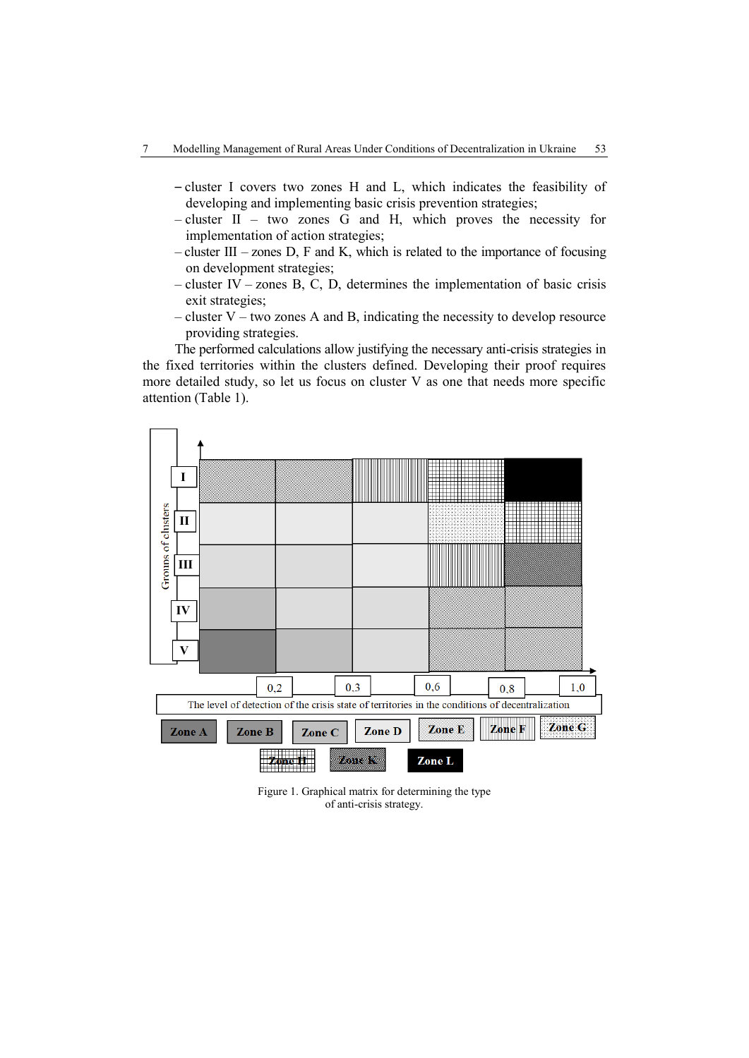- cluster I covers two zones H and L, which indicates the feasibility of developing and implementing basic crisis prevention strategies;
- cluster II two zones G and H, which proves the necessity for implementation of action strategies;
- $-$  cluster III zones D, F and K, which is related to the importance of focusing on development strategies;
- cluster IV zones B, C, D, determines the implementation of basic crisis exit strategies;
- cluster V two zones A and B, indicating the necessity to develop resource providing strategies.

The performed calculations allow justifying the necessary anti-crisis strategies in the fixed territories within the clusters defined. Developing their proof requires more detailed study, so let us focus on cluster V as one that needs more specific attention (Table 1).



Figure 1. Graphical matrix for determining the type of anti-crisis strategy.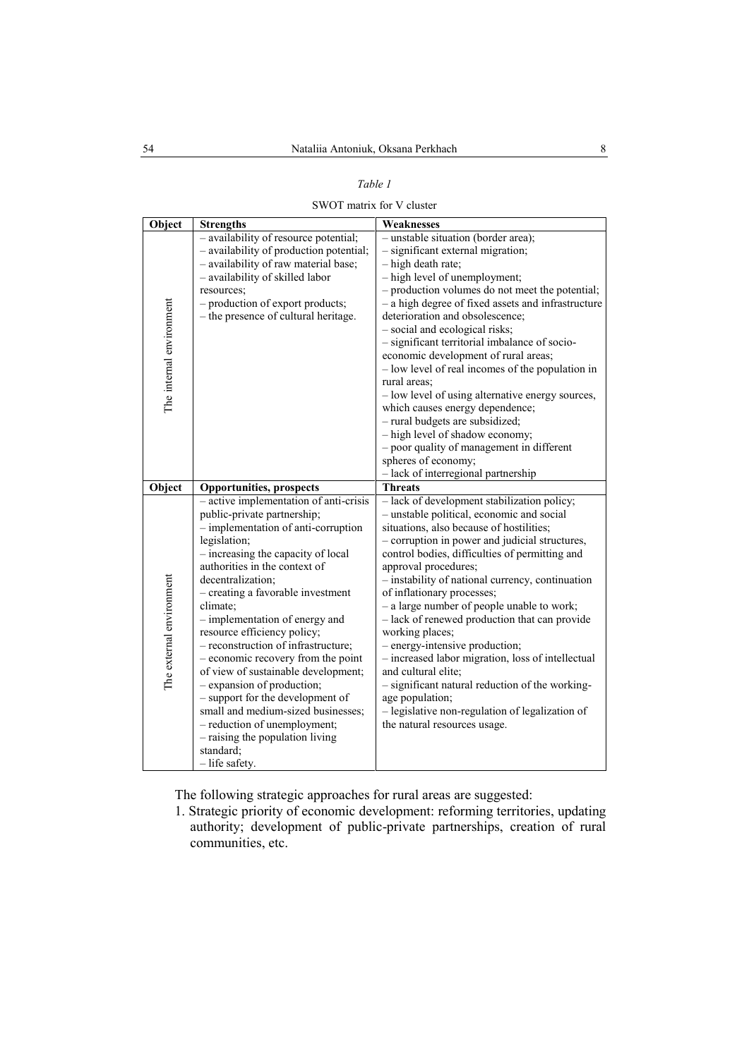#### *Table 1*

SWOT matrix for V cluster

| Object                   | <b>Strengths</b>                                                                                                                                                                                                                                                                                                                                                                                                                                                                                                                                                                                                                                                         | Weaknesses                                                                                                                                                                                                                                                                                                                                                                                                                                                                                                                                                                                                                                                                                                                                         |
|--------------------------|--------------------------------------------------------------------------------------------------------------------------------------------------------------------------------------------------------------------------------------------------------------------------------------------------------------------------------------------------------------------------------------------------------------------------------------------------------------------------------------------------------------------------------------------------------------------------------------------------------------------------------------------------------------------------|----------------------------------------------------------------------------------------------------------------------------------------------------------------------------------------------------------------------------------------------------------------------------------------------------------------------------------------------------------------------------------------------------------------------------------------------------------------------------------------------------------------------------------------------------------------------------------------------------------------------------------------------------------------------------------------------------------------------------------------------------|
| The internal environment | - availability of resource potential;<br>- availability of production potential;<br>- availability of raw material base;<br>- availability of skilled labor<br>resources;<br>- production of export products;<br>- the presence of cultural heritage.                                                                                                                                                                                                                                                                                                                                                                                                                    | - unstable situation (border area);<br>- significant external migration;<br>- high death rate;<br>- high level of unemployment;<br>- production volumes do not meet the potential;<br>- a high degree of fixed assets and infrastructure<br>deterioration and obsolescence;<br>- social and ecological risks;<br>- significant territorial imbalance of socio-<br>economic development of rural areas;<br>- low level of real incomes of the population in<br>rural areas;<br>- low level of using alternative energy sources,<br>which causes energy dependence;<br>- rural budgets are subsidized;<br>- high level of shadow economy;<br>- poor quality of management in different<br>spheres of economy;<br>- lack of interregional partnership |
| Object                   | <b>Opportunities, prospects</b>                                                                                                                                                                                                                                                                                                                                                                                                                                                                                                                                                                                                                                          | <b>Threats</b>                                                                                                                                                                                                                                                                                                                                                                                                                                                                                                                                                                                                                                                                                                                                     |
| The external environment | - active implementation of anti-crisis<br>public-private partnership;<br>- implementation of anti-corruption<br>legislation;<br>- increasing the capacity of local<br>authorities in the context of<br>decentralization;<br>- creating a favorable investment<br>climate;<br>- implementation of energy and<br>resource efficiency policy;<br>- reconstruction of infrastructure;<br>- economic recovery from the point<br>of view of sustainable development;<br>- expansion of production;<br>- support for the development of<br>small and medium-sized businesses;<br>- reduction of unemployment;<br>- raising the population living<br>standard;<br>- life safety. | - lack of development stabilization policy;<br>- unstable political, economic and social<br>situations, also because of hostilities;<br>- corruption in power and judicial structures,<br>control bodies, difficulties of permitting and<br>approval procedures;<br>- instability of national currency, continuation<br>of inflationary processes;<br>- a large number of people unable to work;<br>- lack of renewed production that can provide<br>working places;<br>- energy-intensive production;<br>- increased labor migration, loss of intellectual<br>and cultural elite;<br>- significant natural reduction of the working-<br>age population;<br>- legislative non-regulation of legalization of<br>the natural resources usage.        |

The following strategic approaches for rural areas are suggested:

1. Strategic priority of economic development: reforming territories, updating authority; development of public-private partnerships, creation of rural communities, etc.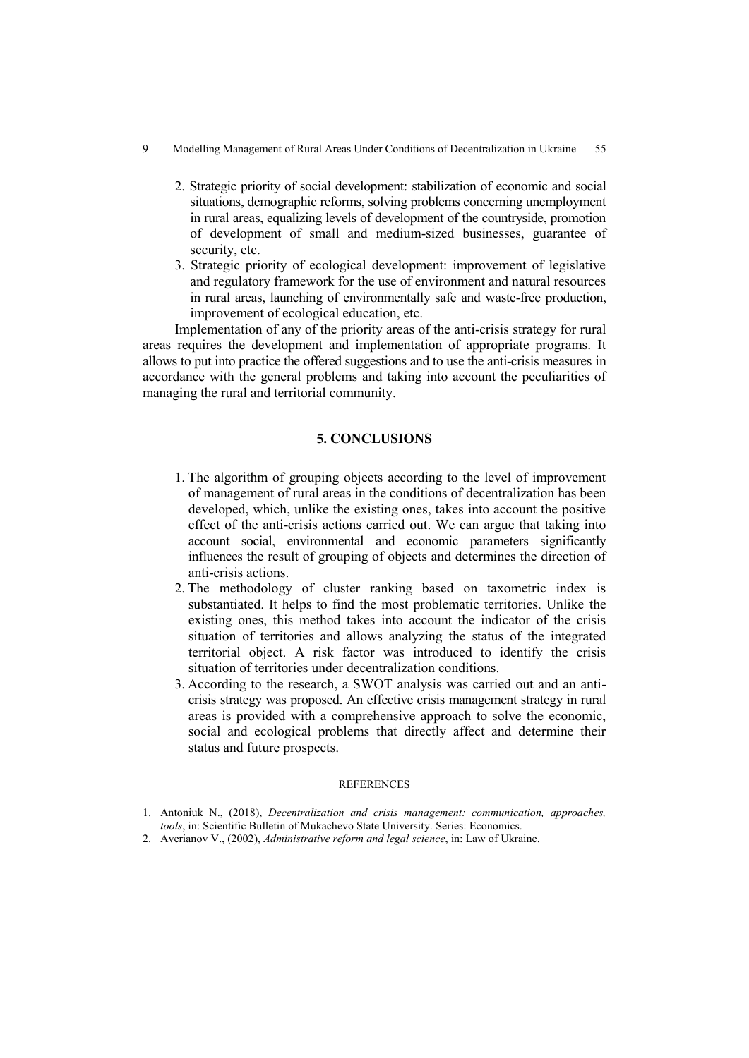- 2. Strategic priority of social development: stabilization of economic and social situations, demographic reforms, solving problems concerning unemployment in rural areas, equalizing levels of development of the countryside, promotion of development of small and medium-sized businesses, guarantee of security, etc.
- 3. Strategic priority of ecological development: improvement of legislative and regulatory framework for the use of environment and natural resources in rural areas, launching of environmentally safe and waste-free production, improvement of ecological education, etc.

Implementation of any of the priority areas of the anti-crisis strategy for rural areas requires the development and implementation of appropriate programs. It allows to put into practice the offered suggestions and to use the anti-crisis measures in accordance with the general problems and taking into account the peculiarities of managing the rural and territorial community.

### **5. CONCLUSIONS**

- 1. The algorithm of grouping objects according to the level of improvement of management of rural areas in the conditions of decentralization has been developed, which, unlike the existing ones, takes into account the positive effect of the anti-crisis actions carried out. We can argue that taking into account social, environmental and economic parameters significantly influences the result of grouping of objects and determines the direction of anti-crisis actions.
- 2. The methodology of cluster ranking based on taxometric index is substantiated. It helps to find the most problematic territories. Unlike the existing ones, this method takes into account the indicator of the crisis situation of territories and allows analyzing the status of the integrated territorial object. A risk factor was introduced to identify the crisis situation of territories under decentralization conditions.
- 3. According to the research, a SWOT analysis was carried out and an anticrisis strategy was proposed. An effective crisis management strategy in rural areas is provided with a comprehensive approach to solve the economic, social and ecological problems that directly affect and determine their status and future prospects.

#### **REFERENCES**

<sup>1.</sup> Antoniuk N., (2018), *Decentralization and crisis management: communication, approaches, tools*, in: Scientific Bulletin of Mukachevo State University. Series: Economics.

<sup>2.</sup> Averianov V., (2002), *Administrative reform and legal science*, in: Law of Ukraine.